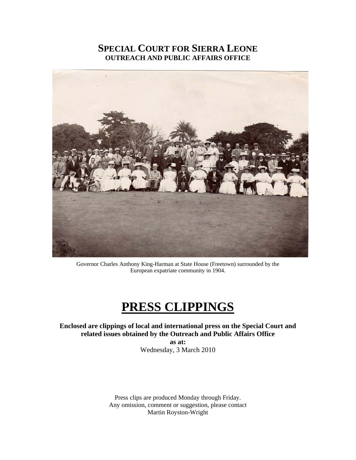## **SPECIAL COURT FOR SIERRA LEONE OUTREACH AND PUBLIC AFFAIRS OFFICE**



Governor Charles Anthony King-Harman at State House (Freetown) surrounded by the European expatriate community in 1904.

## **PRESS CLIPPINGS**

**Enclosed are clippings of local and international press on the Special Court and related issues obtained by the Outreach and Public Affairs Office as at:** 

Wednesday, 3 March 2010

Press clips are produced Monday through Friday. Any omission, comment or suggestion, please contact Martin Royston-Wright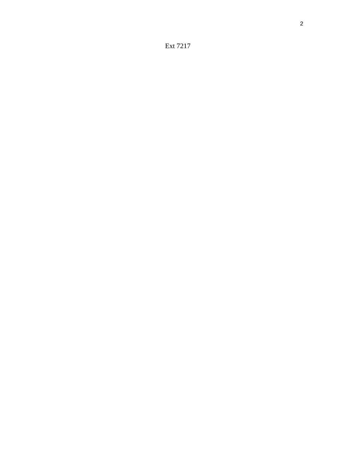Ext 7217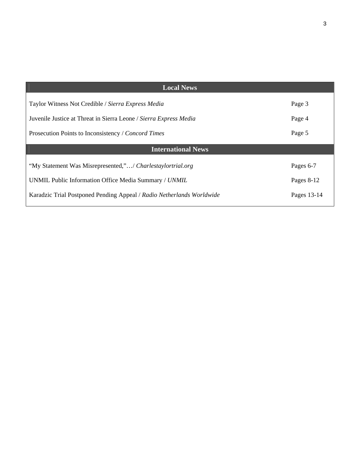| <b>Local News</b>                                                     |             |
|-----------------------------------------------------------------------|-------------|
|                                                                       |             |
| Taylor Witness Not Credible / Sierra Express Media                    | Page 3      |
|                                                                       |             |
| Juvenile Justice at Threat in Sierra Leone / Sierra Express Media     | Page 4      |
| Prosecution Points to Inconsistency / Concord Times                   | Page 5      |
|                                                                       |             |
| <b>International News</b>                                             |             |
|                                                                       |             |
|                                                                       |             |
| "My Statement Was Misrepresented,"/ Charlestaylortrial.org            | Pages 6-7   |
|                                                                       |             |
| UNMIL Public Information Office Media Summary / UNMIL                 | Pages 8-12  |
| Karadzic Trial Postponed Pending Appeal / Radio Netherlands Worldwide | Pages 13-14 |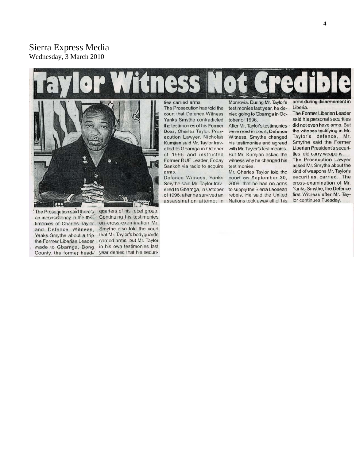## Sierra Express Media Wednesday, 3 March 2010

# ILTY



'The Proseqution said there's an inconsistency in the testimonies of Charles Taylor and Defence Witness, Yanks Smythe about a trip the Former Liberian Leader made to Gbarnga, Bong

quarters of his rebel group. Continuing his testimonies on cross-examination Mr. Smythe also told the court that Mr. Taylor's bodyguards carried arms, but Mr. Taylor in his own testimonies last County, the former head- year denied that his securi-

ties carried arms.

The Prosecution has told the court that Defence Witness Yanks Smythe contradicted the testimonies of his Former Boss, Charles Taylor. Prosecution Lawyer, Nicholas Kumjian said Mr. Taylor travelled to Gbarnga in October of 1996 and instructed Former RUF Leader, Foday Sankoh via radio to acquire arms.

Defence Witness, Yanks Smythe said Mr. Taylor travelled to Gbarnga, in October of 1996, after he survived an assassination attempt in

Monrovia. During Mr. Taylor's testimonies last year, he denied going to Gbarnga in October of 1996.

After Mr. Taylor's testimonies . were read in court, Defence Witness, Smythe changed his testimonies and agreed with Mr. Taylor's testimonies. But Mr. Kumjian asked the witness why he changed his testimonies.

Mr. Charles Taylor told the court on September 30, 2009, that he had no arms to supply the Sierra Leonean rebels. He said the United Nations took away all of his arms during disarmament in Liberia.

The Former Liberian Leader said his personal securities did not even have arms. But the witness testifying in Mr. Taylor's defence, Mr. Smythe said the Former Liberian President's securities did carry weapons.

The Prosecution Lawyer asked Mr. Smythe about the kind of weapons Mr. Taylor's securities carried. The cross-examination of Mr. Yanks Smythe, the Defence first Witness after Mr. Taylor continues Tuesday.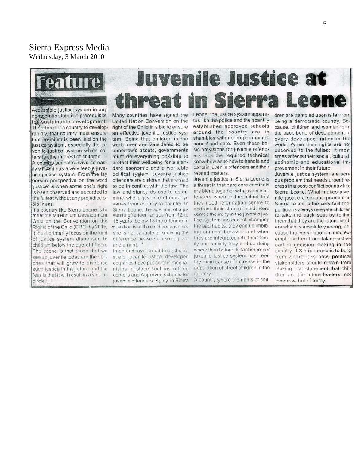## Sierra Express Media Wednesday, 3 March 2010



Accessible justice system in any democratic state is a prerequisite for sustainable development. Therefore for a country to developrapidly, that country must ensure that premium is been laid on the justice system, especially the juvenile justice system which caters for the interest of children.

A country cannot survive so easily when it has a very feeble juvenile justice system. From the lay person perspective on the word 'justice' is when some one's right is been observed and accorded to the fullest without any prejudice or bia iness.

If a country like Sierra Leone is to meet the Millennium Development Goal on the Convention on the Rights of the Child (CRC) by 2015, it must primarily focus on the kind of justice system dispensed to children below the age of fifteen. The cache is that those that we see as juvenile today are the very ones that will grow to dispense such justice in the future and the fear is that it will result in a vicious circle.

## **Juvenile Justice at** threat in Sierra L

United Nation Convention on the right of the Child in a bid to ensure an effective juvenile justice system. Being that children in the world over are considered to be tomorrow's assets; governments must do everything possible to protect their wellbeing for a standard economic and a workable political system. Juvenile justice offenders are children that are said to be in conflict with the law. The law and standards use to determine who a juvenile offender is varies from country to country. In Sierra Leone, the age limit of a juvenile offender ranges from 12 to 18 years, below 18 the offender in \*question is still a child because he/ she is not capable of knowing the difference between a wrong act and a right.

In an endeavor to address the issue of juvenile justice, developed countries have put certain mechanisms in place such as reform centers and Approved schools for juvenile offenders. Sadly, in Sierra

Many countries have signed the Leone, the justice system apparatus like the police and the scantily established approved schools around the country are in shambles with no proper maintenance and care. Even these basic provisions for juvenile offenders lack the required technical know-how as to how to handle and contain juvenile offenders and their related matters.

> Juvenile justice in Sierra Leone is a threat in that hard core criminals are blend together with juvenile offenders when in the actual fact they need reformation centre to address their state of mind. Here comes the irony in the juvenile justice system instead of changing the bad habits, they end up imbibing criminal behavior and when they are integrated into their family and society they end up doing worse than before. In fact improper juvenile justice system has been the main cause of increase in the population of street children in the country.

> A country where the rights of chil-

dren are trampled upon is far from being a democratic country. Because, children and women form the back bone of development in every developed nation in the world. When their rights are not observed to the fullest, it most times affects their social, cultural, economic and educational improvement in their future.

Juvenile justice system is a serious problem that needs urgent redress in a post-conflict country like Sierra Leone. What makes juvenile justice a serious problem in Sierra Leone is the very fact that politicians always relegate children to take the back seat by telling them that they are the future leaders which is absolutely wrong, because that very notion in mind exempt children from taking active part in decision making in the country. If Sierra Leone is to burg from where it is now, political stakeholders should refrain from making that statement that children are the future leaders, not tomorrow but of today.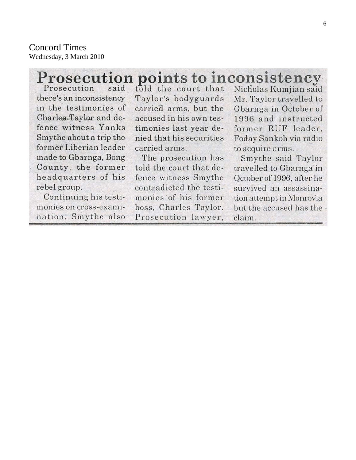**Concord Times** Wednesday, 3 March 2010

## **Prosecution points to inconsistency**

Prosecution said there's an inconsistency in the testimonies of Charles-Taylor and defence witness Yanks Smythe about a trip the former Liberian leader made to Gbarnga, Bong County, the former headquarters of his rebel group.

Continuing his testimonies on cross-examination, Smythe also told the court that Taylor's bodyguards carried arms, but the accused in his own testimonies last year denied that his securities carried arms.

The prosecution has told the court that defence witness Smythe contradicted the testimonies of his former boss, Charles Taylor. Prosecution lawyer,

Nicholas Kumjian said Mr. Taylor travelled to Gbarnga in October of 1996 and instructed former RUF leader. Foday Sankoh via radio to acquire arms.

Smythe said Taylor travelled to Gbarnga in October of 1996, after he survived an assassination attempt in Monrovia but the accused has the claim.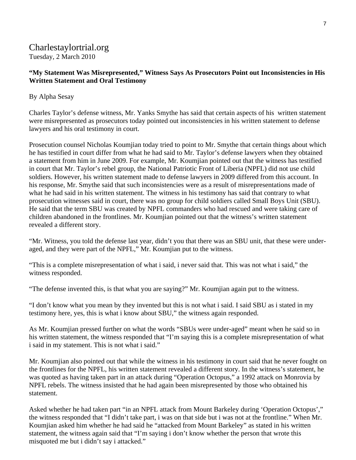## Charlestaylortrial.org Tuesday, 2 March 2010

## **"My Statement Was Misrepresented," Witness Says As Prosecutors Point out Inconsistencies in His Written Statement and Oral Testimony**

## By Alpha Sesay

Charles Taylor's defense witness, Mr. Yanks Smythe has said that certain aspects of his written statement were misrepresented as prosecutors today pointed out inconsistencies in his written statement to defense lawyers and his oral testimony in court.

Prosecution counsel Nicholas Koumjian today tried to point to Mr. Smythe that certain things about which he has testified in court differ from what he had said to Mr. Taylor's defense lawyers when they obtained a statement from him in June 2009. For example, Mr. Koumjian pointed out that the witness has testified in court that Mr. Taylor's rebel group, the National Patriotic Front of Liberia (NPFL) did not use child soldiers. However, his written statement made to defense lawyers in 2009 differed from this account. In his response, Mr. Smythe said that such inconsistencies were as a result of misrepresentations made of what he had said in his written statement. The witness in his testimony has said that contrary to what prosecution witnesses said in court, there was no group for child soldiers called Small Boys Unit (SBU). He said that the term SBU was created by NPFL commanders who had rescued and were taking care of children abandoned in the frontlines. Mr. Koumjian pointed out that the witness's written statement revealed a different story.

"Mr. Witness, you told the defense last year, didn't you that there was an SBU unit, that these were underaged, and they were part of the NPFL," Mr. Koumjian put to the witness.

"This is a complete misrepresentation of what i said, i never said that. This was not what i said," the witness responded.

"The defense invented this, is that what you are saying?" Mr. Koumjian again put to the witness.

"I don't know what you mean by they invented but this is not what i said. I said SBU as i stated in my testimony here, yes, this is what i know about SBU," the witness again responded.

As Mr. Koumjian pressed further on what the words "SBUs were under-aged" meant when he said so in his written statement, the witness responded that "I'm saying this is a complete misrepresentation of what i said in my statement. This is not what i said."

Mr. Koumjian also pointed out that while the witness in his testimony in court said that he never fought on the frontlines for the NPFL, his written statement revealed a different story. In the witness's statement, he was quoted as having taken part in an attack during "Operation Octopus," a 1992 attack on Monrovia by NPFL rebels. The witness insisted that he had again been misrepresented by those who obtained his statement.

Asked whether he had taken part "in an NPFL attack from Mount Barkeley during 'Operation Octopus'," the witness responded that "I didn't take part, i was on that side but i was not at the frontline." When Mr. Koumjian asked him whether he had said he "attacked from Mount Barkeley" as stated in his written statement, the witness again said that "I'm saying i don't know whether the person that wrote this misquoted me but i didn't say i attacked."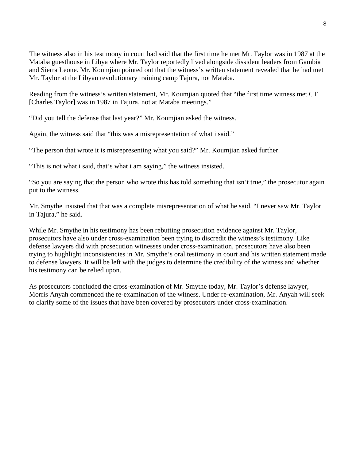The witness also in his testimony in court had said that the first time he met Mr. Taylor was in 1987 at the Mataba guesthouse in Libya where Mr. Taylor reportedly lived alongside dissident leaders from Gambia and Sierra Leone. Mr. Koumjian pointed out that the witness's written statement revealed that he had met Mr. Taylor at the Libyan revolutionary training camp Tajura, not Mataba.

Reading from the witness's written statement, Mr. Koumjian quoted that "the first time witness met CT [Charles Taylor] was in 1987 in Tajura, not at Mataba meetings."

"Did you tell the defense that last year?" Mr. Koumjian asked the witness.

Again, the witness said that "this was a misrepresentation of what i said."

"The person that wrote it is misrepresenting what you said?" Mr. Koumjian asked further.

"This is not what i said, that's what i am saying," the witness insisted.

"So you are saying that the person who wrote this has told something that isn't true," the prosecutor again put to the witness.

Mr. Smythe insisted that that was a complete misrepresentation of what he said. "I never saw Mr. Taylor in Tajura," he said.

While Mr. Smythe in his testimony has been rebutting prosecution evidence against Mr. Taylor, prosecutors have also under cross-examination been trying to discredit the witness's testimony. Like defense lawyers did with prosecution witnesses under cross-examination, prosecutors have also been trying to hughlight inconsistencies in Mr. Smythe's oral testimony in court and his written statement made to defense lawyers. It will be left with the judges to determine the credibility of the witness and whether his testimony can be relied upon.

As prosecutors concluded the cross-examination of Mr. Smythe today, Mr. Taylor's defense lawyer, Morris Anyah commenced the re-examination of the witness. Under re-examination, Mr. Anyah will seek to clarify some of the issues that have been covered by prosecutors under cross-examination.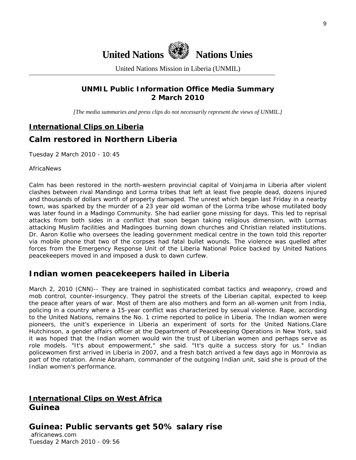

United Nations Mission in Liberia (UNMIL)

## **UNMIL Public Information Office Media Summary 2 March 2010**

*[The media summaries and press clips do not necessarily represent the views of UNMIL.]* 

## **International Clips on Liberia**

## **Calm restored in Northern Liberia**

Tuesday 2 March 2010 - 10:45

AfricaNews

Calm has been restored in the north-western provincial capital of Voinjama in Liberia after violent clashes between rival Mandingo and Lorma tribes that left at least five people dead, dozens injured and thousands of dollars worth of property damaged. The unrest which began last Friday in a nearby town, was sparked by the murder of a 23 year old woman of the Lorma tribe whose mutilated body was later found in a Madingo Community. She had earlier gone missing for days. This led to reprisal attacks from both sides in a conflict that soon began taking religious dimension, with Lormas attacking Muslim facilities and Madingoes burning down churches and Christian related institutions. Dr. Aaron Kollie who oversees the leading government medical centre in the town told this reporter via mobile phone that two of the corpses had fatal bullet wounds. The violence was quelled after forces from the Emergency Response Unit of the Liberia National Police backed by United Nations peacekeepers moved in and imposed a dusk to dawn curfew.

## **Indian women peacekeepers hailed in Liberia**

March 2, 2010 (CNN)-- They are trained in sophisticated combat tactics and weaponry, crowd and mob control, counter-insurgency. They patrol the streets of the Liberian capital, expected to keep the peace after years of war. Most of them are also mothers and form an all-women unit from India, policing in a country where a 15-year conflict was characterized by sexual violence. Rape, according to the United Nations, remains the No. 1 crime reported to police in Liberia. The Indian women were pioneers, the unit's experience in Liberia an experiment of sorts for the United Nations.Clare Hutchinson, a gender affairs officer at the Department of Peacekeeping Operations in New York, said it was hoped that the Indian women would win the trust of Liberian women and perhaps serve as role models. "It's about empowerment," she said. "It's quite a success story for us." Indian policewomen first arrived in Liberia in 2007, and a fresh batch arrived a few days ago in Monrovia as part of the rotation. Annie Abraham, commander of the outgoing Indian unit, said she is proud of the Indian women's performance.

## **International Clips on West Africa Guinea**

**Guinea: Public servants get 50% salary rise** 

 africanews.com Tuesday 2 March 2010 - 09:56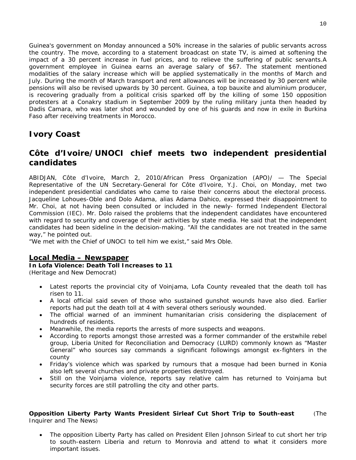Guinea's government on Monday announced a 50% increase in the salaries of public servants across the country. The move, according to a statement broadcast on state TV, is aimed at softening the impact of a 30 percent increase in fuel prices, and to relieve the suffering of public servants.A government employee in Guinea earns an average salary of \$67. The statement mentioned modalities of the salary increase which will be applied systematically in the months of March and July. During the month of March transport and rent allowances will be increased by 30 percent while pensions will also be revised upwards by 30 percent. Guinea, a top bauxite and aluminium producer, is recovering gradually from a political crisis sparked off by the killing of some 150 opposition protesters at a Conakry stadium in September 2009 by the ruling military junta then headed by Dadis Camara, who was later shot and wounded by one of his guards and now in exile in Burkina Faso after receiving treatments in Morocco.

## **Ivory Coast**

## **Côte d'Ivoire/UNOCI chief meets two independent presidential candidates**

ABIDJAN, Côte d'Ivoire, March 2, 2010/African Press Organization (APO)/ — The Special Representative of the UN Secretary-General for Côte d'Ivoire, Y.J. Choi, on Monday, met two independent presidential candidates who came to raise their concerns about the electoral process. Jacqueline Lohoues-Oble and Dolo Adama, alias Adama Dahico, expressed their disappointment to Mr. Choi, at not having been consulted or included in the newly- formed Independent Electoral Commission (IEC). Mr. Dolo raised the problems that the independent candidates have encountered with regard to security and coverage of their activities by state media. He said that the independent candidates had been sideline in the decision-making. "All the candidates are not treated in the same way," he pointed out.

"We met with the Chief of UNOCI to tell him we exist," said Mrs Oble.

## **Local Media – Newspaper**

**In Lofa Violence: Death Toll Increases to 11**  (Heritage and New Democrat)

- Latest reports the provincial city of Voinjama, Lofa County revealed that the death toll has risen to 11.
- A local official said seven of those who sustained gunshot wounds have also died. Earlier reports had put the death toll at 4 with several others seriously wounded.
- The official warned of an imminent humanitarian crisis considering the displacement of hundreds of residents.
- Meanwhile, the media reports the arrests of more suspects and weapons.
- According to reports amongst those arrested was a former commander of the erstwhile rebel group, Liberia United for Reconciliation and Democracy (LURD) commonly known as "Master General" who sources say commands a significant followings amongst ex-fighters in the county
- Friday's violence which was sparked by rumours that a mosque had been burned in Konia also left several churches and private properties destroyed.
- Still on the Voinjama violence, reports say relative calm has returned to Voinjama but security forces are still patrolling the city and other parts.

## **Opposition Liberty Party Wants President Sirleaf Cut Short Trip to South-east** (The Inquirer and The News)

• The opposition Liberty Party has called on President Ellen Johnson Sirleaf to cut short her trip to south-eastern Liberia and return to Monrovia and attend to what it considers more important issues.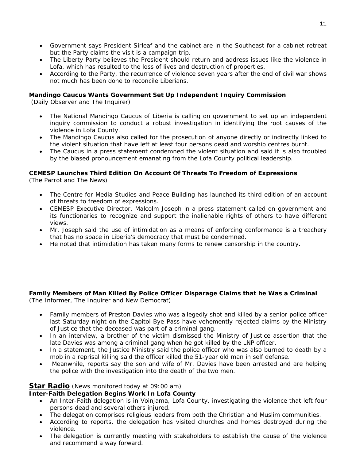- Government says President Sirleaf and the cabinet are in the Southeast for a cabinet retreat but the Party claims the visit is a campaign trip.
- The Liberty Party believes the President should return and address issues like the violence in Lofa, which has resulted to the loss of lives and destruction of properties.
- According to the Party, the recurrence of violence seven years after the end of civil war shows not much has been done to reconcile Liberians.

## **Mandingo Caucus Wants Government Set Up Independent Inquiry Commission**

(Daily Observer and The Inquirer)

- The National Mandingo Caucus of Liberia is calling on government to set up an independent inquiry commission to conduct a robust investigation in identifying the root causes of the violence in Lofa County.
- The Mandingo Caucus also called for the prosecution of anyone directly or indirectly linked to the violent situation that have left at least four persons dead and worship centres burnt.
- The Caucus in a press statement condemned the violent situation and said it is also troubled by the biased pronouncement emanating from the Lofa County political leadership.

## **CEMESP Launches Third Edition On Account Of Threats To Freedom of Expressions**

(The Parrot and The News)

- The Centre for Media Studies and Peace Building has launched its third edition of an account of threats to freedom of expressions.
- CEMESP Executive Director, Malcolm Joseph in a press statement called on government and its functionaries to recognize and support the inalienable rights of others to have different views.
- Mr. Joseph said the use of intimidation as a means of enforcing conformance is a treachery that has no space in Liberia's democracy that must be condemned.
- He noted that intimidation has taken many forms to renew censorship in the country.

## **Family Members of Man Killed By Police Officer Disparage Claims that he Was a Criminal**

(The Informer, The Inquirer and New Democrat)

- Family members of Preston Davies who was allegedly shot and killed by a senior police officer last Saturday night on the Capitol Bye-Pass have vehemently rejected claims by the Ministry of Justice that the deceased was part of a criminal gang.
- In an interview, a brother of the victim dismissed the Ministry of Justice assertion that the late Davies was among a criminal gang when he got killed by the LNP officer.
- In a statement, the Justice Ministry said the police officer who was also burned to death by a mob in a reprisal killing said the officer killed the 51-year old man in self defense.
- Meanwhile, reports say the son and wife of Mr. Davies have been arrested and are helping the police with the investigation into the death of the two men.

## **Star Radio** *(News monitored today at 09:00 am)*

## **Inter-Faith Delegation Begins Work In Lofa County**

- An Inter-Faith delegation is in Voinjama, Lofa County, investigating the violence that left four persons dead and several others injured.
- The delegation comprises religious leaders from both the Christian and Muslim communities.
- According to reports, the delegation has visited churches and homes destroyed during the violence.
- The delegation is currently meeting with stakeholders to establish the cause of the violence and recommend a way forward.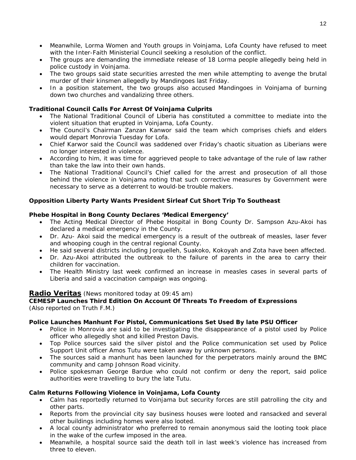- Meanwhile, Lorma Women and Youth groups in Voinjama, Lofa County have refused to meet with the Inter-Faith Ministerial Council seeking a resolution of the conflict.
- The groups are demanding the immediate release of 18 Lorma people allegedly being held in police custody in Voinjama.
- The two groups said state securities arrested the men while attempting to avenge the brutal murder of their kinsmen allegedly by Mandingoes last Friday.
- In a position statement, the two groups also accused Mandingoes in Voinjama of burning down two churches and vandalizing three others.

## **Traditional Council Calls For Arrest Of Voinjama Culprits**

- The National Traditional Council of Liberia has constituted a committee to mediate into the violent situation that erupted in Voinjama, Lofa County.
- The Council's Chairman Zanzan Kanwor said the team which comprises chiefs and elders would depart Monrovia Tuesday for Lofa.
- Chief Karwor said the Council was saddened over Friday's chaotic situation as Liberians were no longer interested in violence.
- According to him, it was time for aggrieved people to take advantage of the rule of law rather than take the law into their own hands.
- The National Traditional Council's Chief called for the arrest and prosecution of all those behind the violence in Voinjama noting that such corrective measures by Government were necessary to serve as a deterrent to would-be trouble makers.

## **Opposition Liberty Party Wants President Sirleaf Cut Short Trip To Southeast**

## **Phebe Hospital in Bong County Declares 'Medical Emergency'**

- The Acting Medical Director of Phebe Hospital in Bong County Dr. Sampson Azu-Akoi has declared a medical emergency in the County.
- Dr. Azu- Akoi said the medical emergency is a result of the outbreak of measles, laser fever and whooping cough in the central regional County.
- He said several districts including Jorquelleh, Suakoko, Kokoyah and Zota have been affected.
- Dr. Azu-Akoi attributed the outbreak to the failure of parents in the area to carry their children for vaccination.
- The Health Ministry last week confirmed an increase in measles cases in several parts of Liberia and said a vaccination campaign was ongoing.

## **Radio Veritas** *(News monitored today at 09:45 am)*

## **CEMESP Launches Third Edition On Account Of Threats To Freedom of Expressions**  (Also reported on Truth F.M.)

## **Police Launches Manhunt For Pistol, Communications Set Used By late PSU Officer**

- Police in Monrovia are said to be investigating the disappearance of a pistol used by Police officer who allegedly shot and killed Preston Davis.
- Top Police sources said the silver pistol and the Police communication set used by Police Support Unit officer Amos Tutu were taken away by unknown persons.
- The sources said a manhunt has been launched for the perpetrators mainly around the BMC community and camp Johnson Road vicinity.
- Police spokesman George Bardue who could not confirm or deny the report, said police authorities were travelling to bury the late Tutu.

## **Calm Returns Following Violence in Voinjama, Lofa County**

- Calm has reportedly returned to Voinjama but security forces are still patrolling the city and other parts.
- Reports from the provincial city say business houses were looted and ransacked and several other buildings including homes were also looted.
- A local county administrator who preferred to remain anonymous said the looting took place in the wake of the curfew imposed in the area.
- Meanwhile, a hospital source said the death toll in last week's violence has increased from three to eleven.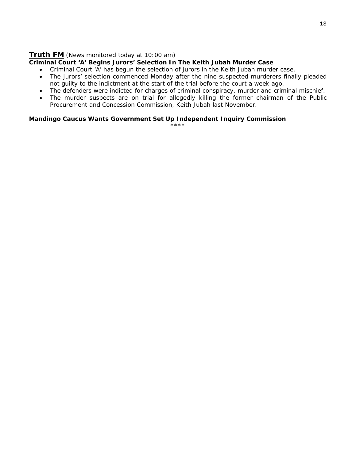## **Truth FM** *(News monitored today at 10:00 am)*

## **Criminal Court 'A' Begins Jurors' Selection In The Keith Jubah Murder Case**

- Criminal Court 'A' has begun the selection of jurors in the Keith Jubah murder case.
- The jurors' selection commenced Monday after the nine suspected murderers finally pleaded not guilty to the indictment at the start of the trial before the court a week ago.
- The defenders were indicted for charges of criminal conspiracy, murder and criminal mischief.
- The murder suspects are on trial for allegedly killing the former chairman of the Public Procurement and Concession Commission, Keith Jubah last November.

## **Mandingo Caucus Wants Government Set Up Independent Inquiry Commission**

\*\*\*\*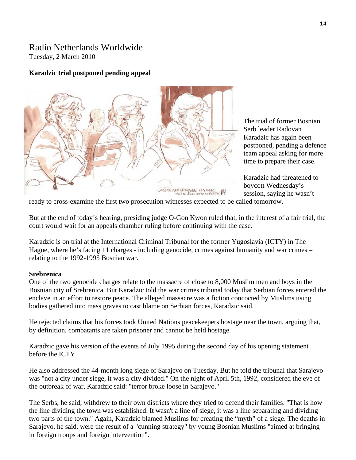## Radio Netherlands Worldwide Tuesday, 2 March 2010

## **Karadzic trial postponed pending appeal**



The trial of former Bosnian Serb leader Radovan Karadzic has again been postponed, pending a d efence team appeal asking for more time to prepare their case.

Karadzic had threatened to session, saying he wasn't boycott Wednesday's

ready to cross-examine the first two prosecution witnesses expected to be called tomorrow.

But at the end of today's hearing, presiding judge O-Gon Kwon ruled that, in the interest of a fair trial, the court would wait for an appeals chamber ruling before continuing with the case.

Karadzic is on trial at the International Criminal Tribunal for the former Yugoslavia (ICTY) in The Hague, where he's facing 11 charges - including genocide, crimes against humanity and war crimes relating to the 1992-1995 Bosnian war.

## **Srebrenica**

One of the two genocide charges relate to the massacre of close to 8,000 Muslim men and boys in the Bosnian city of Srebrenica. But Karadzic told the war crimes tribunal today that Serbian forces entered the enclave in an effort to restore peace. The alleged massacre was a fiction concocted by Muslims using bodies gathered into mass graves to cast blame on Serbian forces, Karadzic said.

He rejected claims that his forces took United Nations peacekeepers hostage near the town, arguing that, by definition, combatants are taken prisoner and cannot be held hostage.

Karadzic gave his version of the events of July 1995 during the second day of his opening statement before the ICTY.

He also addressed the 44-month long siege of Sarajevo on Tuesday. But he told the tribunal that Sarajevo was "not a city under siege, it was a city divided." On the night of April 5th, 1992, considered the eve of the outbreak of war, Karadzic said: "terror broke loose in Sarajevo."

The Serbs, he said, withdrew to their own districts where they tried to defend their families. "That is how two parts of the town." Again, Karadzic blamed Muslims for creating the "myth" of a siege. The deaths in the line dividing the town was established. It wasn't a line of siege, it was a line separating and dividing Sarajevo, he said, were the result of a "cunning strategy" by young Bosnian Muslims "aimed at bringing in foreign troops and foreign intervention".